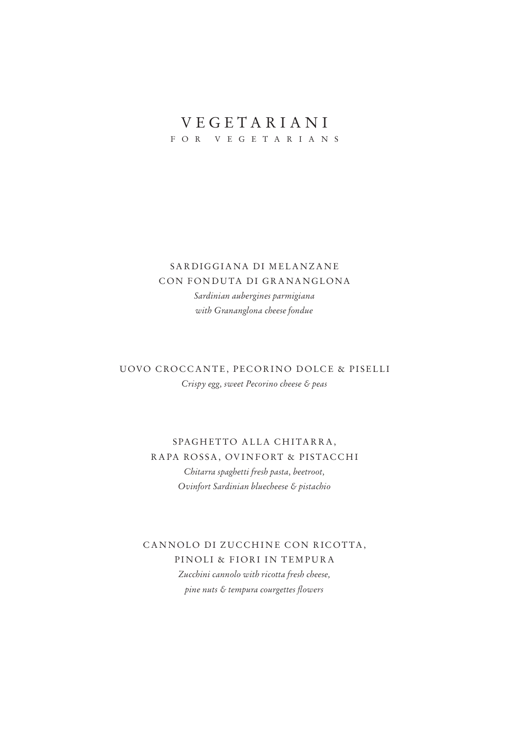### VEGETARIANI

FOR VEGETARIANS

#### SARDIGGIANA DI MELANZANE CON FONDUTA DI GRANANGLONA *Sardinian aubergines parmigiana with Grananglona cheese fondue*

#### UOVO CROCCANTE, PECORINO DOLCE & PISELLI *Crispy egg, sweet Pecorino cheese & peas*

#### SPAGHETTO ALLA CHITARRA, RAPA ROSSA, OVINFORT & PISTACCHI *Chitarra spaghetti fresh pasta, beetroot, Ovinfort Sardinian bluecheese & pistachio*

#### CANNOLO DI ZUCCHINE CON RICOTTA, PINOLI & FIORI IN TEMPURA *Zucchini cannolo with ricotta fresh cheese, pine nuts & tempura courgettes flowers*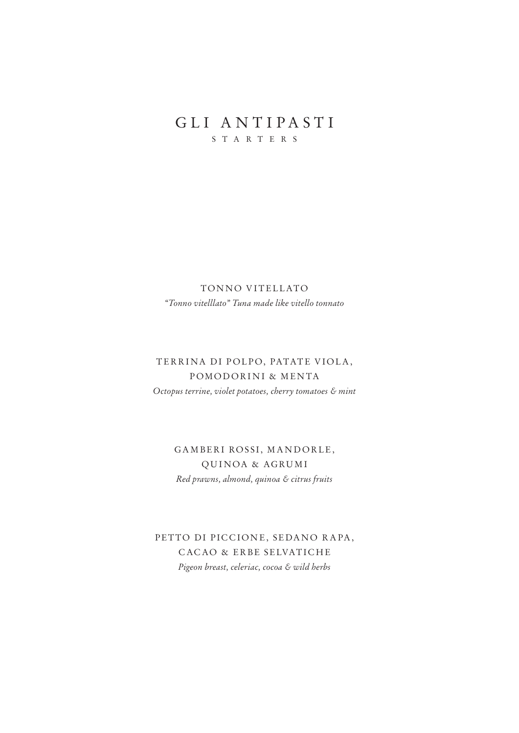#### GLI ANTIPASTI STARTERS

TONNO VITELLATO *"Tonno vitelllato" Tuna made like vitello tonnato* 

#### TERRINA DI POLPO, PATATE VIOLA, POMODORINI & MENTA *Octopus terrine, violet potatoes, cherry tomatoes & mint*

GAMBERI ROSSI, MANDORLE, QUINOA & AGRUMI *Red prawns, almond, quinoa & citrus fruits*

PETTO DI PICCIONE, SEDANO RAPA, CACAO & ERBE SELVATICHE *Pigeon breast, celeriac, cocoa & wild herbs*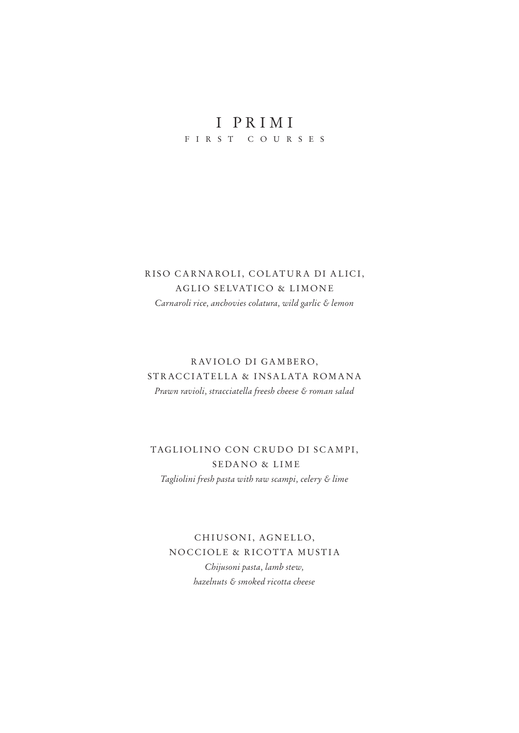## I PRIMI

FIRST COURSES

#### RISO CARNAROLI, COLATURA DI ALICI, AGLIO SELVATICO & LIMONE *Carnaroli rice, anchovies colatura, wild garlic & lemon*

#### RAVIOLO DI GAMBERO, STRACCIATELLA & INSALATA ROMANA *Prawn ravioli, stracciatella freesh cheese & roman salad*

#### TAGLIOLINO CON CRUDO DI SCAMPI, SEDANO & LIME *Tagliolini fresh pasta with raw scampi, celery & lime*

CHIUSONI, AGNELLO, NOCCIOLE & RICOTTA MUSTIA *Chijusoni pasta, lamb stew, hazelnuts & smoked ricotta cheese*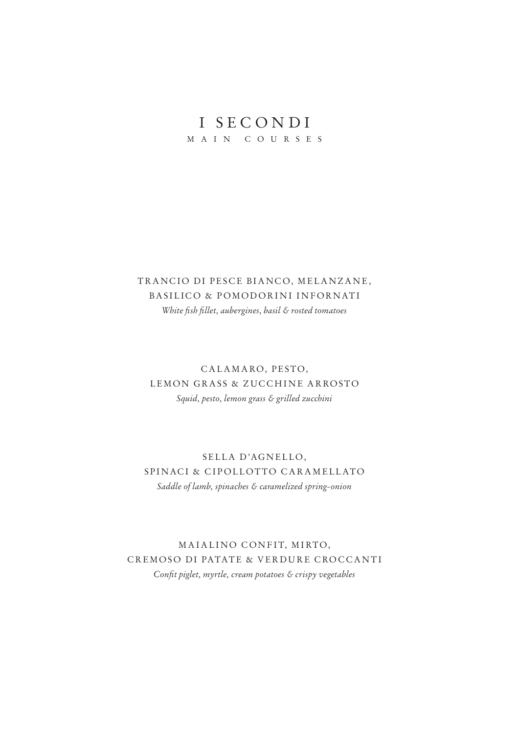## I SECONDI

MAIN COURSES

#### TRANCIO DI PESCE BIANCO, MELANZANE, BASILICO & POMODORINI INFORNATI *White fish fillet, aubergines, basil & rosted tomatoes*

#### CALAMARO, PESTO, LEMON GRASS & ZUCCHINE ARROSTO *Squid, pesto, lemon grass & grilled zucchini*

#### SELLA D'AGNELLO, SPINACI & CIPOLLOTTO CARAMELLATO *Saddle of lamb, spinaches & caramelized spring-onion*

#### MAIALINO CONFIT, MIRTO, CREMOSO DI PATATE & VERDURE CROCCANTI *Confit piglet, myrtle, cream potatoes & crispy vegetables*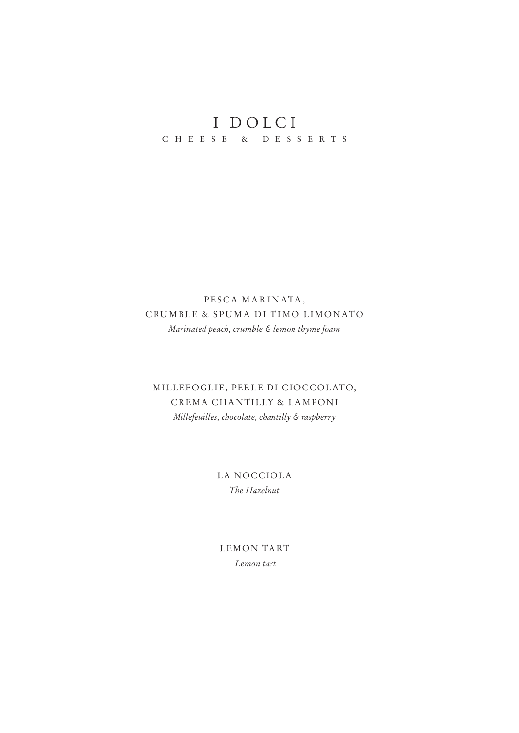# I DOLCI

CHEESE & DESSERTS

#### PESCA MARINATA, CRUMBLE & SPUMA DI TIMO LIMONATO Marinated peach, crumble & lemon thyme foam

#### MILLEFOGLIE, PERLE DI CIOCCOLATO, CREMA CHANTILLY & LAMPONI Millefeuilles, chocolate, chantilly & raspberry

#### LA NOCCIOLA The Hazelnut

LEMON TART Lemon tart